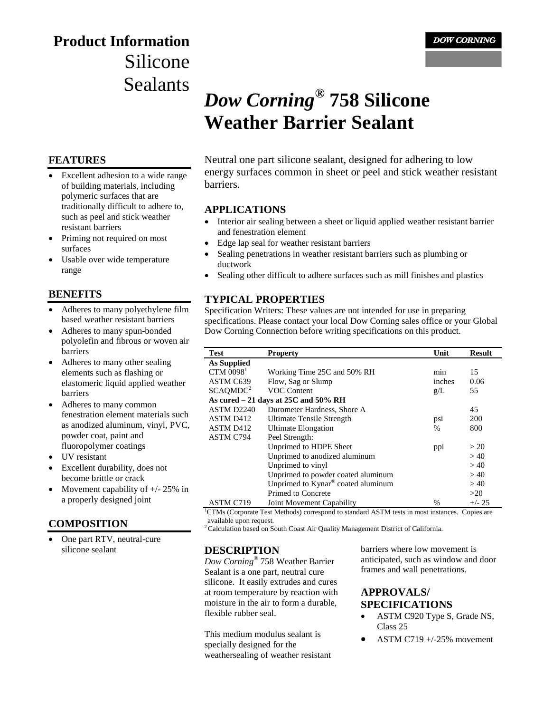# **Product Information** Silicone Sealants

#### **FEATURES**

- Excellent adhesion to a wide range of building materials, including polymeric surfaces that are traditionally difficult to adhere to, such as peel and stick weather resistant barriers
- Priming not required on most surfaces
- Usable over wide temperature range

#### **BENEFITS**

- Adheres to many polyethylene film based weather resistant barriers
- Adheres to many spun-bonded polyolefin and fibrous or woven air barriers
- Adheres to many other sealing elements such as flashing or elastomeric liquid applied weather barriers
- Adheres to many common fenestration element materials such as anodized aluminum, vinyl, PVC, powder coat, paint and fluoropolymer coatings
- UV resistant
- Excellent durability, does not become brittle or crack
- Movement capability of  $+/- 25\%$  in a properly designed joint

### **COMPOSITION**

One part RTV, neutral-cure silicone sealant

# **DOW CORNING**

# *Dow Corning***® 758 Silicone Weather Barrier Sealant**

Neutral one part silicone sealant, designed for adhering to low energy surfaces common in sheet or peel and stick weather resistant barriers.

#### **APPLICATIONS**

- Interior air sealing between a sheet or liquid applied weather resistant barrier and fenestration element
- Edge lap seal for weather resistant barriers
- Sealing penetrations in weather resistant barriers such as plumbing or ductwork
- Sealing other difficult to adhere surfaces such as mill finishes and plastics

#### **TYPICAL PROPERTIES**

Specification Writers: These values are not intended for use in preparing specifications. Please contact your local Dow Corning sales office or your Global Dow Corning Connection before writing specifications on this product.

| Test                                  | <b>Property</b>                    | Unit          | <b>Result</b> |
|---------------------------------------|------------------------------------|---------------|---------------|
| As Supplied                           |                                    |               |               |
| $CTM$ 0098 <sup>1</sup>               | Working Time 25C and 50% RH        | min           | 15            |
| ASTM C639                             | Flow, Sag or Slump                 | inches        | 0.06          |
| SCAQMDC <sup>2</sup>                  | <b>VOC Content</b>                 | g/L           | 55            |
| As cured $-21$ days at 25C and 50% RH |                                    |               |               |
| ASTM D2240                            | Durometer Hardness, Shore A        |               | 45            |
| ASTM D412                             | Ultimate Tensile Strength          | psi           | 200           |
| ASTM D412                             | <b>Ultimate Elongation</b>         | $\frac{0}{0}$ | 800           |
| <b>ASTM C794</b>                      | Peel Strength:                     |               |               |
|                                       | Unprimed to HDPE Sheet             | ppi           | > 20          |
|                                       | Unprimed to anodized aluminum      |               | >40           |
|                                       | Unprimed to vinyl                  |               | >40           |
|                                       | Unprimed to powder coated aluminum |               | >40           |
|                                       | Unprimed to Kynar® coated aluminum |               | >40           |
|                                       | Primed to Concrete                 |               | >20           |
| ASTM C719                             | Joint Movement Capability          | %             | $+/- 25$      |

<sup>1</sup>CTMs (Corporate Test Methods) correspond to standard ASTM tests in most instances. Copies are available upon request.

<sup>2</sup> Calculation based on South Coast Air Quality Management District of California.

#### **DESCRIPTION**

*Dow Corning*® 758 Weather Barrier Sealant is a one part, neutral cure silicone. It easily extrudes and cures at room temperature by reaction with moisture in the air to form a durable, flexible rubber seal.

This medium modulus sealant is specially designed for the weathersealing of weather resistant barriers where low movement is anticipated, such as window and door frames and wall penetrations.

### **APPROVALS/ SPECIFICATIONS**

- ASTM C920 Type S, Grade NS, Class 25
- ASTM C719  $+/-25%$  movement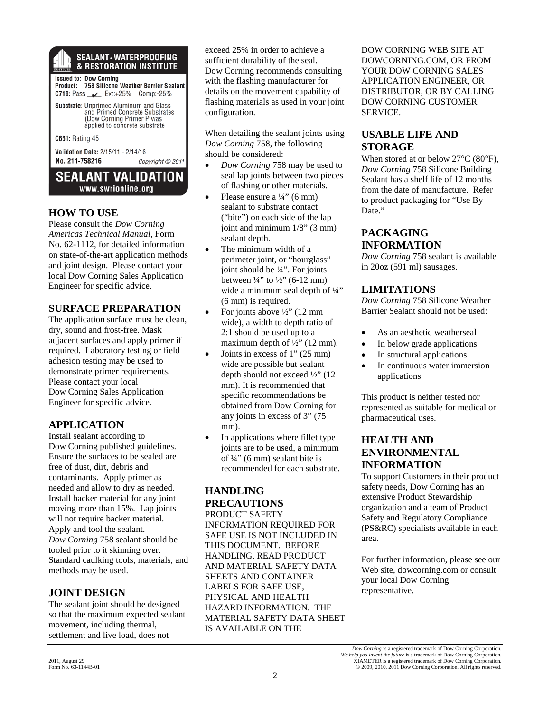# **SEALANT • WATERPROOFING**<br>& RESTORATION INSTITUTE

Issued to: Dow Corning<br>Product: 758 Silicone Weather Barrier Sealant C719: Pass \_\_ Ext:+25% Comp:-25% Substrate: Unprimed Aluminum and Glass and Primed Concrete Substrates<br>(Dow Corning Primer P was applied to concrete substrate C661: Rating 45 Validation Date: 2/15/11 - 2/14/16 No. 211-758216 Copyright @ 2011

**SEALANT VALIDATION** www.swrionline.org

#### **HOW TO USE**

Please consult the *Dow Corning Americas Technical Manual*, Form No. 62-1112, for detailed information on state-of-the-art application methods and joint design. Please contact your local Dow Corning Sales Application Engineer for specific advice.

#### **SURFACE PREPARATION**

The application surface must be clean, dry, sound and frost-free. Mask adjacent surfaces and apply primer if required. Laboratory testing or field adhesion testing may be used to demonstrate primer requirements. Please contact your local Dow Corning Sales Application Engineer for specific advice.

### **APPLICATION**

Install sealant according to Dow Corning published guidelines. Ensure the surfaces to be sealed are free of dust, dirt, debris and contaminants. Apply primer as needed and allow to dry as needed. Install backer material for any joint moving more than 15%. Lap joints will not require backer material. Apply and tool the sealant. *Dow Corning* 758 sealant should be tooled prior to it skinning over. Standard caulking tools, materials, and methods may be used.

### **JOINT DESIGN**

The sealant joint should be designed so that the maximum expected sealant movement, including thermal, settlement and live load, does not

exceed 25% in order to achieve a sufficient durability of the seal. Dow Corning recommends consulting with the flashing manufacturer for details on the movement capability of flashing materials as used in your joint configuration.

When detailing the sealant joints using *Dow Corning* 758, the following should be considered:

- *Dow Corning* 758 may be used to seal lap joints between two pieces of flashing or other materials.
- Please ensure a  $\frac{1}{4}$ " (6 mm) sealant to substrate contact ("bite") on each side of the lap joint and minimum 1/8" (3 mm) sealant depth.
- The minimum width of a perimeter joint, or "hourglass" joint should be ¼". For joints between  $\frac{1}{4}$ " to  $\frac{1}{2}$ " (6-12 mm) wide a minimum seal depth of  $\frac{1}{4}$ " (6 mm) is required.
- For joints above  $\frac{1}{2}$  (12 mm) wide), a width to depth ratio of 2:1 should be used up to a maximum depth of  $\frac{1}{2}$ " (12 mm).
- Joints in excess of 1" (25 mm) wide are possible but sealant depth should not exceed ½" (12 mm). It is recommended that specific recommendations be obtained from Dow Corning for any joints in excess of 3" (75 mm).
- In applications where fillet type joints are to be used, a minimum of ¼" (6 mm) sealant bite is recommended for each substrate.

#### **HANDLING PRECAUTIONS**

PRODUCT SAFETY INFORMATION REQUIRED FOR SAFE USE IS NOT INCLUDED IN THIS DOCUMENT. BEFORE HANDLING, READ PRODUCT AND MATERIAL SAFETY DATA SHEETS AND CONTAINER LABELS FOR SAFE USE, PHYSICAL AND HEALTH HAZARD INFORMATION. THE MATERIAL SAFETY DATA SHEET IS AVAILABLE ON THE

DOW CORNING WEB SITE AT DOWCORNING.COM, OR FROM YOUR DOW CORNING SALES APPLICATION ENGINEER, OR DISTRIBUTOR, OR BY CALLING DOW CORNING CUSTOMER SERVICE.

### **USABLE LIFE AND STORAGE**

When stored at or below 27°C (80°F), *Dow Corning* 758 Silicone Building Sealant has a shelf life of 12 months from the date of manufacture. Refer to product packaging for "Use By Date."

## **PACKAGING INFORMATION**

*Dow Corning* 758 sealant is available in 20oz (591 ml) sausages.

### **LIMITATIONS**

*Dow Corning* 758 Silicone Weather Barrier Sealant should not be used:

- As an aesthetic weatherseal
- In below grade applications
- In structural applications
- In continuous water immersion applications

This product is neither tested nor represented as suitable for medical or pharmaceutical uses.

### **HEALTH AND ENVIRONMENTAL INFORMATION**

To support Customers in their product safety needs, Dow Corning has an extensive Product Stewardship organization and a team of Product Safety and Regulatory Compliance (PS&RC) specialists available in each area.

For further information, please see our Web site, dowcorning.com or consult your local Dow Corning representative.